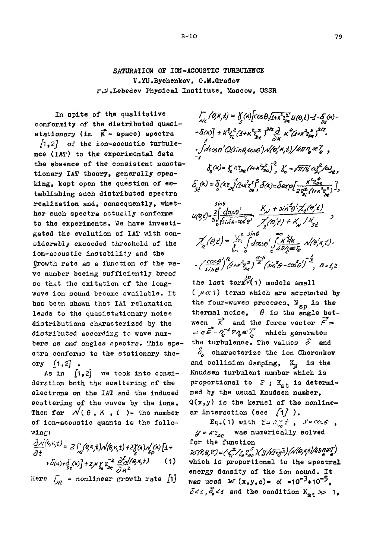SATURATION OF ION-ACOUSTIC TURBULENCE V.YU.Bychenkov, O.M.Gradov P.N.Lebedev Physical Institute, Moscow, USSR

In spite of the qualitative conformity of the distributed quasistationary (in  $\vec{K}$  - space) spectra  $\begin{bmatrix} 1, 2 \end{bmatrix}$  of the ion-acoustic turbulence (IAT) to the experimental data the absence of the consistent nonstationary IAT theory, generally speaking, kept open the question of establishing such distributed spectra realization and, consequently, whether such spectra actually conforms to the experiments. We have investigated the evolution of IAT with considerably exceeded threshold of the ion-acoustic instability and the growth rate as a function of the wave number beeing sufficiently broad so that the exitation of the longwave ion sound become available. It has been shown that IAT relaxation leads to the quasistationary noise distributions characterized by the distributed according to wave numbers as and angles spectra. This spectra conforms to the stationary theory  $\int 1,2$ .

As in  $\lceil 1, 2 \rceil$  we took into consideration both the scattering of the electrons on the IAT and the induced scattering of the waves by the ions. Then for  $\mathcal{N}(\theta, K, t)$  - the number of ion-acoustic quanta is the follo $w1n<sub>E</sub>$ :

$$
\frac{\partial \Lambda^{(k,k,t)}}{\partial t} = 2 \int_{M} (\theta, \kappa, t) \Lambda(\theta, \kappa, t) + 2 \int_{M} (\kappa) \Lambda_{\rho}(\kappa) \left[ 1 + \frac{1}{2} \int_{M} (\kappa, \kappa, t) \right] + 2 \int_{M} (\kappa, \kappa, t) \left[ 1 + \frac{1}{2} \int_{M} (\kappa, \kappa, t) \right] + 2 \int_{M} \int_{\theta} \frac{\partial^2 \Lambda^{(k,k,t)}}{\partial \theta^k} \frac{\partial^2 \Lambda^{(k,k,t)}}{\partial \theta^k} d\theta
$$

Here  $\int_{\mathcal{M}}$  - nonlinear growth rate [1]

 $\int_{\mathcal{N}} (\theta, k, t) = \int_{\mathcal{N}} (k) \left[ \cos \theta \sqrt{1 + k^2 z_{\text{tot}}^2} \, \mathcal{U}(\theta, t) - 1 - \delta \right] (k) -\delta(x)\frac{1}{2}+K\frac{2}{Y_{1}}\frac{z}{(4+K^{2}z_{bc}^{2})}\frac{z^{3/2}}{z^{3/2}}\frac{d}{dx}K^{4}(4+K^{2}z_{bc}^{2})^{3/2}.$  $\cdot \int_{0}^{1} d\cos\theta' Q(\sin\theta, \cos\theta') \sqrt{\left(\theta', \theta, t\right)}/4\pi\eta e^{\frac{1}{\theta'}},$  $\delta_c(k) = \delta_c k_{loc}^2 (1 + k^2 z_0^2)^{-2}$ ,  $\delta_c = \sqrt{\pi/g} \omega_c^2 / \omega_c$  $\delta_{st}^{(k)} = \delta_{s}^{(k)} \tilde{e}_{2}^{(4k)} \tilde{e}_{3}^{(4k')^{2}} \delta_{s}^{(k)} = \delta_{exp}[\frac{k^{2}z_{0}^{k}}{z_{0}^{2}(t+k^{2}z_{0}^{k})}],$  $\mathcal{U}(6,1)=\frac{2}{\pi}\int\limits_{0}^{5\text{in}\,6}\frac{d\cos\theta'}{\sin\theta'\cos\theta'}\cdot\frac{K_{\mathcal{N}}+5\text{in}^{2}6'\cdot Z_{4}(6'2)}{\chi'(6/2)+K_{\mathcal{N}}/K_{51}}$  $\chi'_n(\theta,t) = \frac{V^2}{\int_0^{2\pi i} \int d\cos\theta'} \int_{\sqrt{4\pi/2}}^{\infty} \frac{k'dk}{4\pi/2} \sqrt{e'} \kappa_i t'.$  $\cdot$  (cose)'  $^{n}$  (x + x  $^{2}$ z<sup>2</sup> (sin<sup>2</sup> $\theta$ -cose)'  $^{2}$ , n=1,2

the last term  $(1)$  models small  $(\mu \ll 1)$  terms which are accounted by the four-waves proceses,  $N_{sn}$  is the thermal noise,  $\theta$  is the angle between  $\vec{K}$  and the force vector  $\vec{F}$  $= e \vec{F} - \eta^{-4} \nabla \eta \propto \eta$  which generates the turbulence. The values  $S$  and  $\delta$  characterize the ion Cherenkov

and collision damping, K<sub>N</sub> is the Knudsen turbulent number which is proportional to  $F$ ;  $K_{gt}$  is determined by the usual Knudsen number.  $Q(x, y)$  is the kernel of the nonlinear interaction (see  $\{1\}$ ).

Eq.(1) with  $\mathcal{E} = 2 \int_{a}^{b} \vec{x}$ ,  $\vec{x} = \cos \theta$ ,  $\mathcal{G} = \kappa z_{ae}$  was numerically solved for the function UMY, E)={ X, 2/ Yo Z & ) ( Y/ / 1+y 2 ) ( NO, X E) / 4 T M 2 Z ) which is proportional to the spectral energy density of the ion sound. It was used  $w(x,y,0) = d \approx 10^{-3} \div 10^{-5}$ .  $\delta$ <4,  $\delta_{\rm e}$ <4 and the condition  $K_{\rm st}$  >> 1.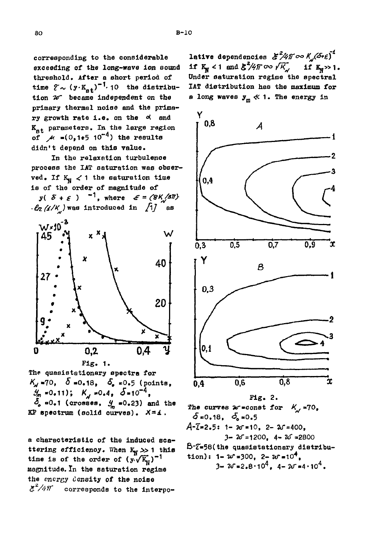corresponding to the considerable exceeding of the long-wave ion sound threshold. After a short period of time  $\zeta \sim (y \cdot K_{\alpha t})^{-1}$ . 10 the distribution  $\n *w*\n *became*\n independent on the\n$ primary thermal noise and the primary growth rate i.e. on the od and K<sub>at</sub> parameters. In the large region of  $\mu = (0, 1 + 5, 10^{-4})$  the results didn't depend on this value.

In the relaxation turbulence process the IAT saturation was observed. If  $K_{\text{VI}}$  < 1 the saturation time is of the order of magnitude of

 $y( \delta + \varepsilon )^{-1}$ , where  $\varepsilon = (8K/3\pi)$  $-\ell_2$  (1/K) was introduced in [1] as



The quasistationary spectra for  $K_{\mathcal{N}}$  =70,  $\delta$  =0.18,  $\delta_{\mathbf{e}}$  =0.5 (points,  $\mathcal{G}_m = 0.11$ ;  $K_d = 0.4$ ,  $\delta = 10^{-4}$ ,  $\ddot{\delta}_e$  =0.1 (crosses,  $\frac{g}{m}$  =0.23) and the KP spectrum (solid curves). X=1.

a characteristic of the induced scattering efficiency. When  $K_{\text{N}} >> 1$  this time is of the order of  $(y,\sqrt{K_{\rm M}})^{-1}$ magnitude. In the saturation regime the energy density of the noise  $\zeta^2/4\pi$  corresponds to the interpolative dependencies  $\mathcal{E}^2/4\pi \infty$   $K_u(5+\varepsilon)^4$ if  $K_M < 1$  and  $\mathcal{E}^2/4\pi \infty \sqrt{K_M}$  if  $K_N > 1$ . Under saturation regime the spectral IAT distribution has the maximum for a long waves  $y_m \ll 1$ . The energy in



The curves  $x^*$ =const for  $K_x = 70$ .  $\delta$ =0.18,  $\delta$ =0.5  $A$ - $\overline{z}$ =2.5: 1- 20=10, 2- 20=400,  $3 - 20 = 1200$ ,  $4 - 20 = 2800$ B-7=58(the quasistationary distribution):  $1 - w = 300$ ,  $2 - w = 10^4$ ,

 $3 - 2\sqrt{3} - 2.8 \cdot 10^{4}$ ,  $4 - 2\sqrt{3} \cdot 10^{4}$ .